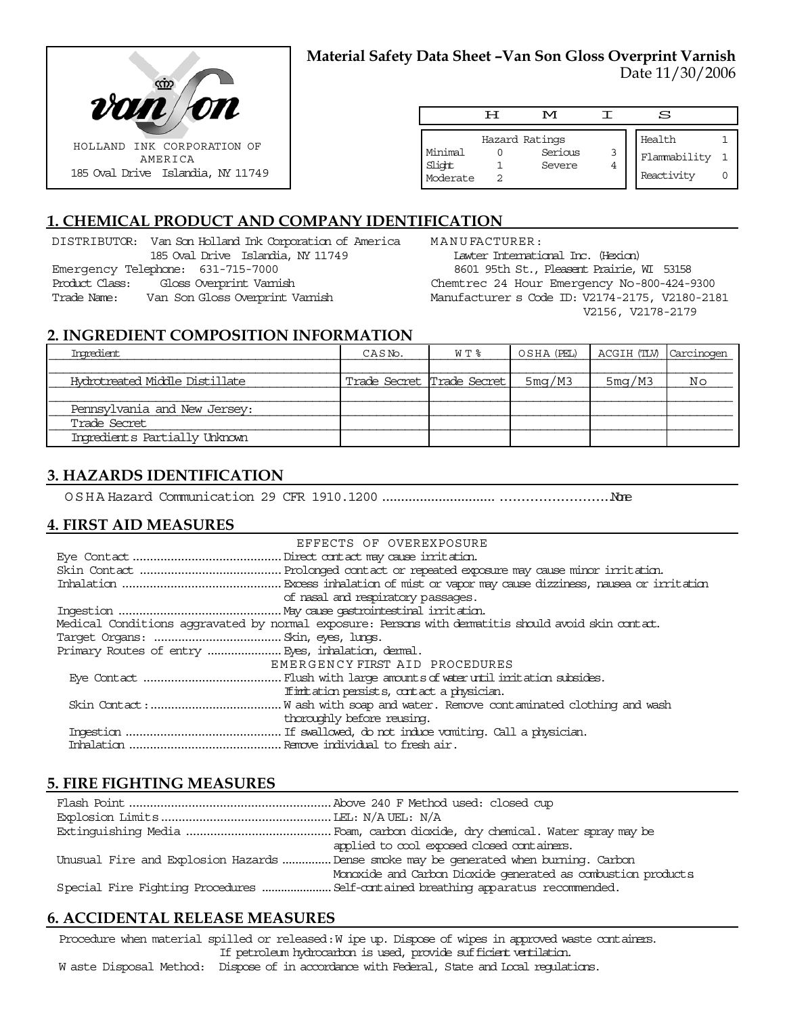

### **Material Safety Data Sheet –Van Son Gloss Overprint Varnish** Date 11/30/2006

|                               | ਸ | M                                   |   | s                                    |  |
|-------------------------------|---|-------------------------------------|---|--------------------------------------|--|
| Minimal<br>Slight<br>Moderate |   | Hazard Ratings<br>Serious<br>Severe | 3 | Health<br>Flammability<br>Reactivity |  |

# **1. CHEMICAL PRODUCT AND COMPANY IDENTIFICATION**

DISTRIBUTOR: Van Son Holland Ink Corporation of America 185 Oval Drive Islandia, NY 11749 Emergency Telephone: 631-715-7000 Product Class: Gloss Overprint Varnish Trade Name: Van Son Gloss Overprint Varnish

MANUFACTURER: Lawter International Inc. (Hexion) 8601 95th St., Pleasent Prairie, WI 53158 Chemtrec 24 Hour Emergency No-800-424-9300 Manufacturer s Code ID: V2174-2175, V2180-2181 V2156, V2178-2179

#### **2. INGREDIENT COMPOSITION INFORMATION**

| Ingredient                     | CASN <sub>o</sub> .       | W T % |        | OSHA (PEL)   ACGIH (TLV)   Carcinogen |    |
|--------------------------------|---------------------------|-------|--------|---------------------------------------|----|
|                                |                           |       |        |                                       |    |
| Hydrotreated Middle Distillate | Trade Secret Trade Secret |       | 5mg/M3 | 5mg/M3                                | Νo |
|                                |                           |       |        |                                       |    |
| Pennsylvania and New Jersey:   |                           |       |        |                                       |    |
| Trade Secret                   |                           |       |        |                                       |    |
| Ingredients Partially Unknown  |                           |       |        |                                       |    |

### **3. HAZARDS IDENTIFICATION**

OSHA Hazard Communication 29 CFR 1910.1200........................................................None

### **4. FIRST AID MEASURES**

| EFFECTS OF OVEREXPOSURE                                                                            |
|----------------------------------------------------------------------------------------------------|
|                                                                                                    |
|                                                                                                    |
|                                                                                                    |
| of nasal and respiratory passages.                                                                 |
|                                                                                                    |
| Medical Conditions aggravated by normal exposure: Persons with dematitis should avoid skin contat. |
|                                                                                                    |
|                                                                                                    |
| EMERGENCY FIRST AID PROCEDURES                                                                     |
|                                                                                                    |
| If initiation persists, contact a physician.                                                       |
|                                                                                                    |
| thoroughly before reusing.                                                                         |
|                                                                                                    |
|                                                                                                    |

#### **5. FIRE FIGHTING MEASURES**

| applied to cool exposed closed containers.                                            |
|---------------------------------------------------------------------------------------|
| Unusual Fire and Explosion Hazards  Dense smoke may be generated when burning. Carbon |
| Monoxide and Carbon Dioxide generated as combustion products                          |
|                                                                                       |

### **6. ACCIDENTAL RELEASE MEASURES**

Procedure when material spilled or released: W ipe up. Dispose of wipes in approved waste containers. If petroleum hydrocarbon is used, provide sufficient ventilation.

W aste Disposal Method: Dispose of in accordance with Federal, State and Local regulations.